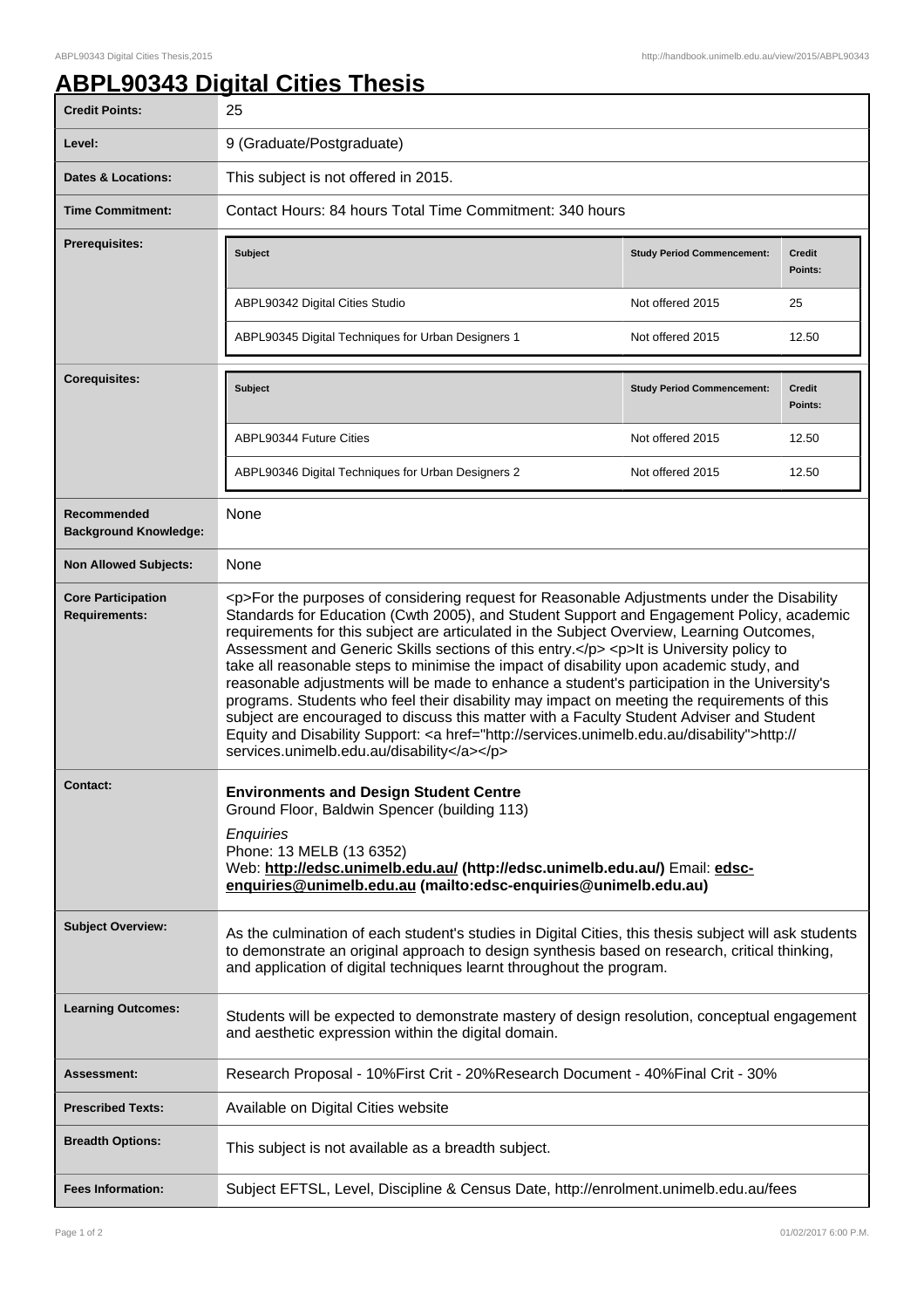## **ABPL90343 Digital Cities Thesis**

| <b>Credit Points:</b>                             | 25                                                                                                                                                                                                                                                                                                                                                                                                                                                                                                                                                                                                                                                                                                                                                                                                                                                                                                                           |                                   |                          |  |
|---------------------------------------------------|------------------------------------------------------------------------------------------------------------------------------------------------------------------------------------------------------------------------------------------------------------------------------------------------------------------------------------------------------------------------------------------------------------------------------------------------------------------------------------------------------------------------------------------------------------------------------------------------------------------------------------------------------------------------------------------------------------------------------------------------------------------------------------------------------------------------------------------------------------------------------------------------------------------------------|-----------------------------------|--------------------------|--|
| Level:                                            | 9 (Graduate/Postgraduate)                                                                                                                                                                                                                                                                                                                                                                                                                                                                                                                                                                                                                                                                                                                                                                                                                                                                                                    |                                   |                          |  |
| <b>Dates &amp; Locations:</b>                     | This subject is not offered in 2015.                                                                                                                                                                                                                                                                                                                                                                                                                                                                                                                                                                                                                                                                                                                                                                                                                                                                                         |                                   |                          |  |
| <b>Time Commitment:</b>                           | Contact Hours: 84 hours Total Time Commitment: 340 hours                                                                                                                                                                                                                                                                                                                                                                                                                                                                                                                                                                                                                                                                                                                                                                                                                                                                     |                                   |                          |  |
| <b>Prerequisites:</b>                             | <b>Subject</b>                                                                                                                                                                                                                                                                                                                                                                                                                                                                                                                                                                                                                                                                                                                                                                                                                                                                                                               | <b>Study Period Commencement:</b> | <b>Credit</b><br>Points: |  |
|                                                   | ABPL90342 Digital Cities Studio                                                                                                                                                                                                                                                                                                                                                                                                                                                                                                                                                                                                                                                                                                                                                                                                                                                                                              | Not offered 2015                  | 25                       |  |
|                                                   | ABPL90345 Digital Techniques for Urban Designers 1                                                                                                                                                                                                                                                                                                                                                                                                                                                                                                                                                                                                                                                                                                                                                                                                                                                                           | Not offered 2015                  | 12.50                    |  |
| <b>Corequisites:</b>                              | <b>Subject</b>                                                                                                                                                                                                                                                                                                                                                                                                                                                                                                                                                                                                                                                                                                                                                                                                                                                                                                               | <b>Study Period Commencement:</b> | <b>Credit</b><br>Points: |  |
|                                                   | ABPL90344 Future Cities                                                                                                                                                                                                                                                                                                                                                                                                                                                                                                                                                                                                                                                                                                                                                                                                                                                                                                      | Not offered 2015                  | 12.50                    |  |
|                                                   | ABPL90346 Digital Techniques for Urban Designers 2                                                                                                                                                                                                                                                                                                                                                                                                                                                                                                                                                                                                                                                                                                                                                                                                                                                                           | Not offered 2015                  | 12.50                    |  |
| Recommended<br><b>Background Knowledge:</b>       | None                                                                                                                                                                                                                                                                                                                                                                                                                                                                                                                                                                                                                                                                                                                                                                                                                                                                                                                         |                                   |                          |  |
| <b>Non Allowed Subjects:</b>                      | None                                                                                                                                                                                                                                                                                                                                                                                                                                                                                                                                                                                                                                                                                                                                                                                                                                                                                                                         |                                   |                          |  |
| <b>Core Participation</b><br><b>Requirements:</b> | <p>For the purposes of considering request for Reasonable Adjustments under the Disability<br/>Standards for Education (Cwth 2005), and Student Support and Engagement Policy, academic<br/>requirements for this subject are articulated in the Subject Overview, Learning Outcomes,<br/>Assessment and Generic Skills sections of this entry.</p> <p>lt is University policy to<br/>take all reasonable steps to minimise the impact of disability upon academic study, and<br/>reasonable adjustments will be made to enhance a student's participation in the University's<br/>programs. Students who feel their disability may impact on meeting the requirements of this<br/>subject are encouraged to discuss this matter with a Faculty Student Adviser and Student<br/>Equity and Disability Support: &lt; a href="http://services.unimelb.edu.au/disability"&gt;http://<br/>services.unimelb.edu.au/disability</p> |                                   |                          |  |
| <b>Contact:</b>                                   | <b>Environments and Design Student Centre</b><br>Ground Floor, Baldwin Spencer (building 113)<br>Enquiries<br>Phone: 13 MELB (13 6352)<br>Web: http://edsc.unimelb.edu.au/ (http://edsc.unimelb.edu.au/) Email: edsc-<br>enquiries@unimelb.edu.au (mailto:edsc-enquiries@unimelb.edu.au)                                                                                                                                                                                                                                                                                                                                                                                                                                                                                                                                                                                                                                     |                                   |                          |  |
| <b>Subject Overview:</b>                          | As the culmination of each student's studies in Digital Cities, this thesis subject will ask students<br>to demonstrate an original approach to design synthesis based on research, critical thinking,<br>and application of digital techniques learnt throughout the program.                                                                                                                                                                                                                                                                                                                                                                                                                                                                                                                                                                                                                                               |                                   |                          |  |
| <b>Learning Outcomes:</b>                         | Students will be expected to demonstrate mastery of design resolution, conceptual engagement<br>and aesthetic expression within the digital domain.                                                                                                                                                                                                                                                                                                                                                                                                                                                                                                                                                                                                                                                                                                                                                                          |                                   |                          |  |
| <b>Assessment:</b>                                | Research Proposal - 10% First Crit - 20% Research Document - 40% Final Crit - 30%                                                                                                                                                                                                                                                                                                                                                                                                                                                                                                                                                                                                                                                                                                                                                                                                                                            |                                   |                          |  |
| <b>Prescribed Texts:</b>                          | Available on Digital Cities website                                                                                                                                                                                                                                                                                                                                                                                                                                                                                                                                                                                                                                                                                                                                                                                                                                                                                          |                                   |                          |  |
| <b>Breadth Options:</b>                           | This subject is not available as a breadth subject.                                                                                                                                                                                                                                                                                                                                                                                                                                                                                                                                                                                                                                                                                                                                                                                                                                                                          |                                   |                          |  |
| <b>Fees Information:</b>                          | Subject EFTSL, Level, Discipline & Census Date, http://enrolment.unimelb.edu.au/fees                                                                                                                                                                                                                                                                                                                                                                                                                                                                                                                                                                                                                                                                                                                                                                                                                                         |                                   |                          |  |